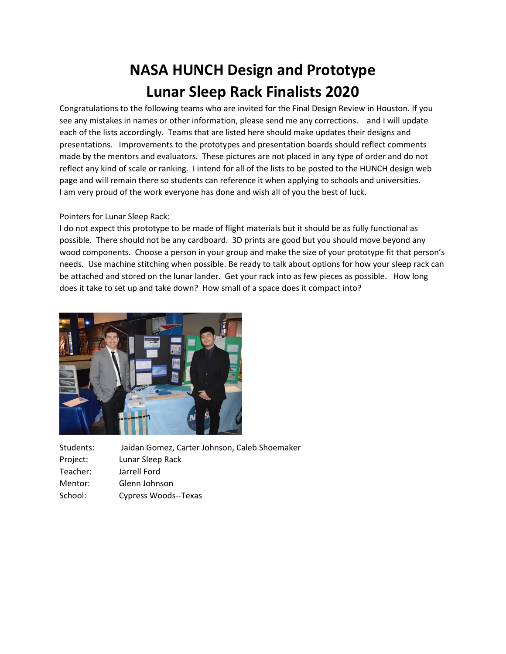## **NASA HUNCH Design and Prototype Lunar Sleep Rack Finalists 2020**

Congratulations to the following teams who are invited for the Final Design Review in Houston. If you see any mistakes in names or other information, please send me any corrections. and I will update each of the lists accordingly. Teams that are listed here should make updates their designs and presentations. Improvements to the prototypes and presentation boards should reflect comments made by the mentors and evaluators. These pictures are not placed in any type of order and do not reflect any kind of scale or ranking. I intend for all of the lists to be posted to the HUNCH design web page and will remain there so students can reference it when applying to schools and universities. I am very proud of the work everyone has done and wish all of you the best of luck.

## Pointers for Lunar Sleep Rack:

I do not expect this prototype to be made of flight materials but it should be as fully functional as possible. There should not be any cardboard. 3D prints are good but you should move beyond any wood components. Choose a person in your group and make the size of your prototype fit that person's needs. Use machine stitching when possible. Be ready to talk about options for how your sleep rack can be attached and stored on the lunar lander. Get your rack into as few pieces as possible. How long does it take to set up and take down? How small of a space does it compact into?



| Students: | Jaidan Gomez, Carter Johnson, Caleb Shoemaker |
|-----------|-----------------------------------------------|
| Project:  | Lunar Sleep Rack                              |
| Teacher:  | Jarrell Ford                                  |
| Mentor:   | Glenn Johnson                                 |
|           |                                               |

School: Cypress Woods--Texas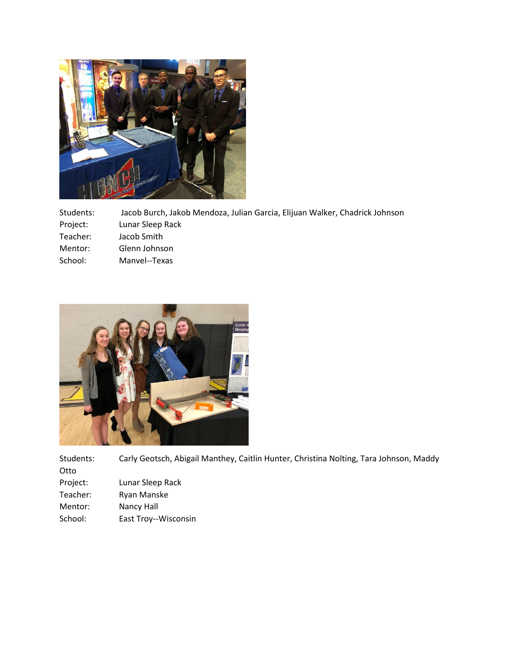

Students: Jacob Burch, Jakob Mendoza, Julian Garcia, Elijuan Walker, Chadrick Johnson Project: Lunar Sleep Rack Teacher: Jacob Smith Mentor: Glenn Johnson School: Manvel--Texas



Students: Carly Geotsch, Abigail Manthey, Caitlin Hunter, Christina Nolting, Tara Johnson, Maddy Otto Project: Lunar Sleep Rack

- Teacher: Ryan Manske
- Mentor: Nancy Hall
- School: East Troy--Wisconsin